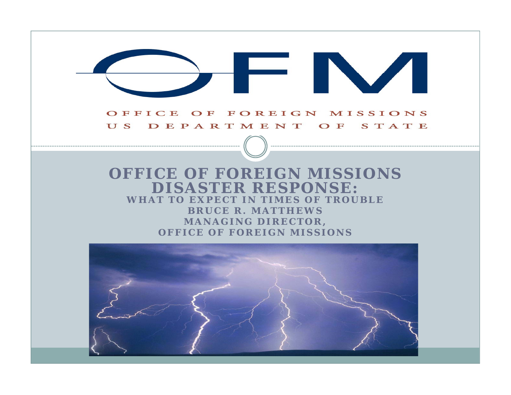# FINA OFFICE OF FOREIGN MISSIONS

#### US DEPARTMENT OF STATE

#### **OFFICE OF FOREIGN MISSIONS DISASTER RESPONSE: WHAT TO EXPECT IN TIMES OF TROUBLEBRUCE R. MATTHEWS MANAGING DIRECTOR , OFFICE OF FOREIGN MISSIONS**

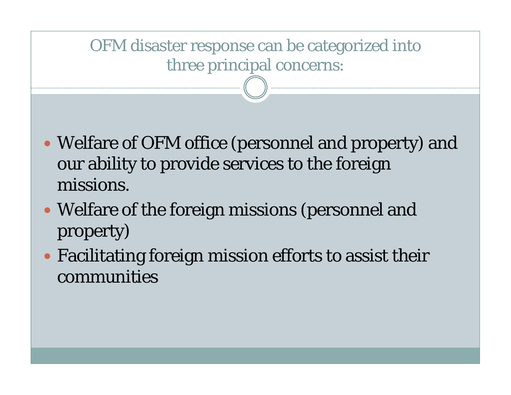#### OFM disaster response can be categorized into three principal concerns:

- Welfare of OFM office (personnel and property) and our ability to provide services to the foreign missions.
- Welfare of the foreign missions (personnel and property)
- Facilitating foreign mission efforts to assist their communities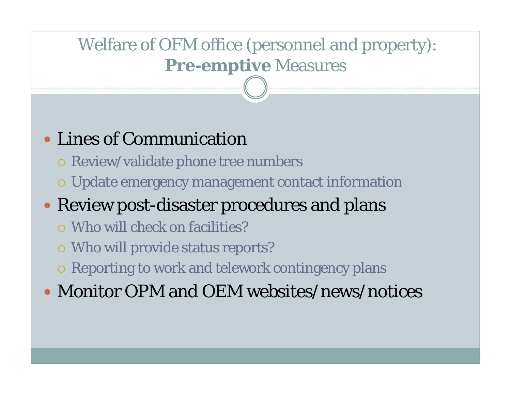### Welfare of OFM office (personnel and property): **Pre-em ptive** Measures

### Lines of Communication

- Review/validate phone tree numbers
- Update emergency management contact information

## Review post-disaster procedures and plans

- $\,$  O Who will check on facilities?
- Who will provide status reports?
- Reporting to work and telework contingency plans
- Monitor OPM and OEM websites/news/notices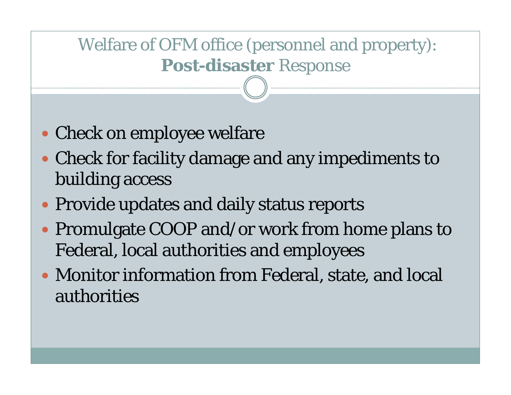#### Welfare of OFM office (personnel and property): **Post-disaster** Res ponse

- Check on employee welfare
- Check for facility damage and any impediments to building access
- Provide updates and daily status reports
- Promulgate COOP and/or work from home plans to Federal, local authorities and employees
- Monitor information from Federal, state, and local authorities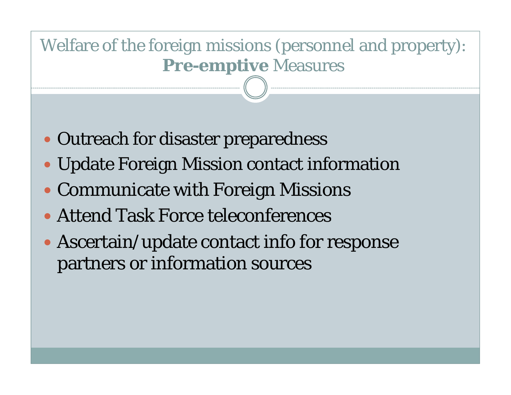#### Welfare of the foreign missions (personnel and property): **Pre-em ptive** Measures

- Outreach for disaster preparedness
- Update Foreign Mission contact information
- Communicate with Foreign Missions
- Attend Task Force teleconferences
- Ascertain/update contact info for response partners or information sources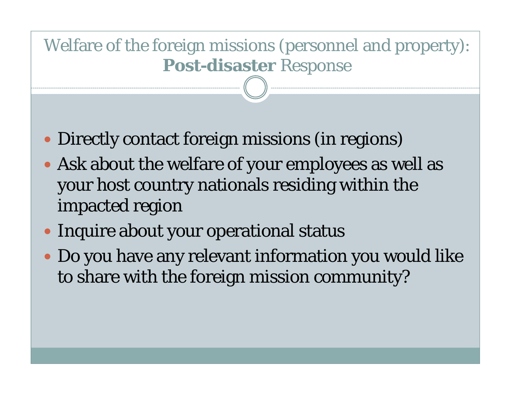#### Welfare of the foreign missions (personnel and property): **Post-disaster** Res ponse

- Directly contact foreign missions (in regions)
- Ask about the welfare of your employees as well as your host country nationals residing within the impacted region
- Inquire about your operational status
- Do you have any relevant information you would like to share with the foreign mission community?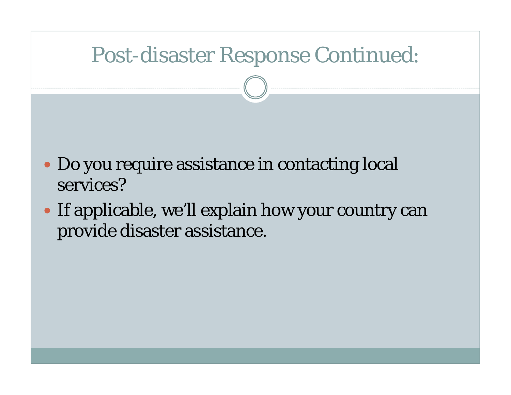## Post-disaster Response Continued:

- Do you require assistance in contacting local services?
- If applicable, we'll explain how your country can provide disaster assistance.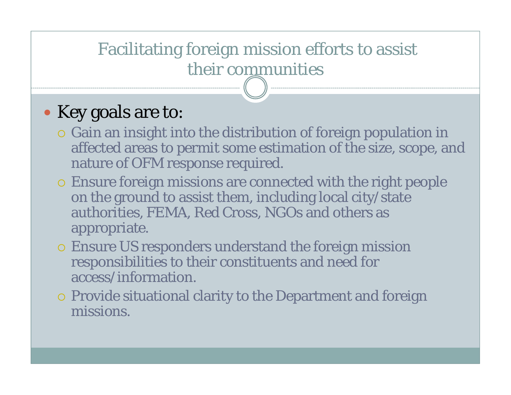#### Facilitating foreign mission efforts to assist their communities

#### • Key goals are to:

- Gain an insight into the distribution of foreign population in affected areas to permit some estimation of the size, scope, and nature of OFM response required.
- Ensure foreign missions are connected with the right people on the ground to assist them, including local city/state authorities, FEMA, Red Cross, NGOs and others as appropriate.
- Ensure US responders understand the foreign mission responsibilities to their constituents and need for access/information.
- Provide situational clarity to the Department and foreign missions.